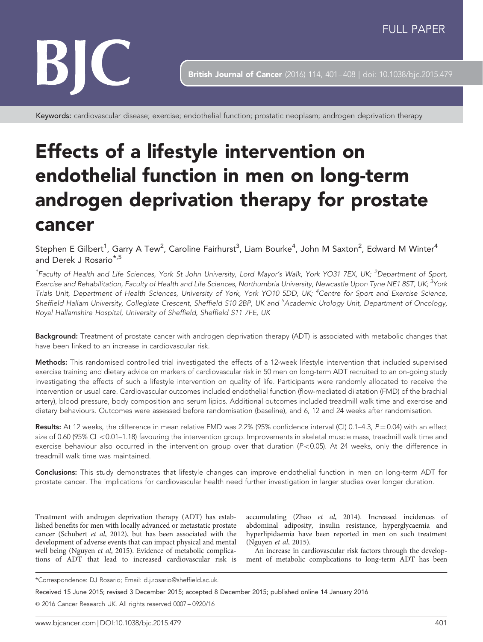# BIC

British Journal of Cancer (2016) 114, 401-408 | doi: 10.1038/bjc.2015.479

Keywords: cardiovascular disease; exercise; endothelial function; prostatic neoplasm; androgen deprivation therapy

## Effects of a lifestyle intervention on endothelial function in men on long-term androgen deprivation therapy for prostate cancer

Stephen E Gilbert<sup>1</sup>, Garry A Tew<sup>2</sup>, Caroline Fairhurst<sup>3</sup>, Liam Bourke<sup>4</sup>, John M Saxton<sup>2</sup>, Edward M Winter<sup>4</sup> and Derek J Rosario\*,5

<sup>1</sup>Faculty of Health and Life Sciences, York St John University, Lord Mayor's Walk, York YO31 7EX, UK; <sup>2</sup>Department of Sport, Exercise and Rehabilitation, Faculty of Health and Life Sciences, Northumbria University, Newcastle Upon Tyne NE1 8ST, UK; <sup>3</sup>York Trials Unit, Department of Health Sciences, University of York, York YO10 5DD, UK; <sup>4</sup>Centre for Sport and Exercise Science, Sheffield Hallam University, Collegiate Crescent, Sheffield S10 2BP, UK and <sup>5</sup>Academic Urology Unit, Department of Oncology, Royal Hallamshire Hospital, University of Sheffield, Sheffield S11 7FE, UK

Background: Treatment of prostate cancer with androgen deprivation therapy (ADT) is associated with metabolic changes that have been linked to an increase in cardiovascular risk.

Methods: This randomised controlled trial investigated the effects of a 12-week lifestyle intervention that included supervised exercise training and dietary advice on markers of cardiovascular risk in 50 men on long-term ADT recruited to an on-going study investigating the effects of such a lifestyle intervention on quality of life. Participants were randomly allocated to receive the intervention or usual care. Cardiovascular outcomes included endothelial function (flow-mediated dilatation (FMD) of the brachial artery), blood pressure, body composition and serum lipids. Additional outcomes included treadmill walk time and exercise and dietary behaviours. Outcomes were assessed before randomisation (baseline), and 6, 12 and 24 weeks after randomisation.

Results: At 12 weeks, the difference in mean relative FMD was 2.2% (95% confidence interval (CI) 0.1–4.3,  $P = 0.04$ ) with an effect size of 0.60 (95% CI <0.01–1.18) favouring the intervention group. Improvements in skeletal muscle mass, treadmill walk time and exercise behaviour also occurred in the intervention group over that duration  $(P<0.05)$ . At 24 weeks, only the difference in treadmill walk time was maintained.

Conclusions: This study demonstrates that lifestyle changes can improve endothelial function in men on long-term ADT for prostate cancer. The implications for cardiovascular health need further investigation in larger studies over longer duration.

Treatment with androgen deprivation therapy (ADT) has established benefits for men with locally advanced or metastatic prostate cancer [\(Schubert](#page-7-0) et al, 2012), but has been associated with the development of adverse events that can impact physical and mental well being [\(Nguyen](#page-7-0) et al, 2015). Evidence of metabolic complications of ADT that lead to increased cardiovascular risk is accumulating (Zhao et al[, 2014](#page-7-0)). Increased incidences of abdominal adiposity, insulin resistance, hyperglycaemia and hyperlipidaemia have been reported in men on such treatment ([Nguyen](#page-7-0) et al, 2015).

An increase in cardiovascular risk factors through the development of metabolic complications to long-term ADT has been

Received 15 June 2015; revised 3 December 2015; accepted 8 December 2015; published online 14 January 2016

& 2016 Cancer Research UK. All rights reserved 0007 – 0920/16

<sup>\*</sup>Correspondence: DJ Rosario; Email: [d.j.rosario@sheffield.ac.uk.](mailto:d.j.rosario@sheffield.ac.uk)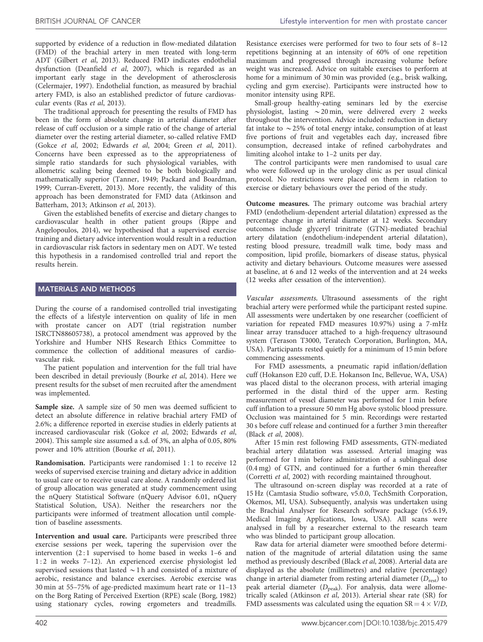supported by evidence of a reduction in flow-mediated dilatation (FMD) of the brachial artery in men treated with long-term ADT [\(Gilbert](#page-7-0) et al, 2013). Reduced FMD indicates endothelial dysfunction [\(Deanfield](#page-7-0) et al, 2007), which is regarded as an important early stage in the development of atherosclerosis ([Celermajer, 1997](#page-6-0)). Endothelial function, as measured by brachial artery FMD, is also an established predictor of future cardiovascular events (Ras et al[, 2013\)](#page-7-0).

The traditional approach for presenting the results of FMD has been in the form of absolute change in arterial diameter after release of cuff occlusion or a simple ratio of the change of arterial diameter over the resting arterial diameter, so-called relative FMD (Gokce et al[, 2002](#page-7-0); [Edwards](#page-7-0) et al, 2004; Green et al[, 2011](#page-7-0)). Concerns have been expressed as to the appropriateness of simple ratio standards for such physiological variables, with allometric scaling being deemed to be both biologically and mathematically superior [\(Tanner, 1949; Packard and Boardman,](#page-7-0) [1999](#page-7-0); Curran-[Everett, 2013](#page-7-0)). More recently, the validity of this approach has been demonstrated for FMD data [\(Atkinson and](#page-6-0) [Batterham, 2013](#page-6-0); [Atkinson](#page-6-0) et al, 2013).

Given the established benefits of exercise and dietary changes to cardiovascular health in other patient groups [\(Rippe and](#page-7-0) [Angelopoulos, 2014](#page-7-0)), we hypothesised that a supervised exercise training and dietary advice intervention would result in a reduction in cardiovascular risk factors in sedentary men on ADT. We tested this hypothesis in a randomised controlled trial and report the results herein.

#### MATERIALS AND METHODS

During the course of a randomised controlled trial investigating the effects of a lifestyle intervention on quality of life in men with prostate cancer on ADT (trial registration number ISRCTN88605738), a protocol amendment was approved by the Yorkshire and Humber NHS Research Ethics Committee to commence the collection of additional measures of cardiovascular risk.

The patient population and intervention for the full trial have been described in detail previously ([Bourke](#page-6-0) et al, 2014). Here we present results for the subset of men recruited after the amendment was implemented.

Sample size. A sample size of 50 men was deemed sufficient to detect an absolute difference in relative brachial artery FMD of 2.6%; a difference reported in exercise studies in elderly patients at increased cardiovascular risk (Gokce et al[, 2002; Edwards](#page-7-0) et al, [2004](#page-7-0)). This sample size assumed a s.d. of 3%, an alpha of 0.05, 80% power and 10% attrition [\(Bourke](#page-6-0) et al, 2011).

Randomisation. Participants were randomised 1:1 to receive 12 weeks of supervised exercise training and dietary advice in addition to usual care or to receive usual care alone. A randomly ordered list of group allocation was generated at study commencement using the nQuery Statistical Software (nQuery Advisor 6.01, nQuery Statistical Solution, USA). Neither the researchers nor the participants were informed of treatment allocation until completion of baseline assessments.

Intervention and usual care. Participants were prescribed three exercise sessions per week, tapering the supervision over the intervention (2:1 supervised to home based in weeks 1-6 and 1:2 in weeks 7-12). An experienced exercise physiologist led supervised sessions that lasted  $\sim$  1 h and consisted of a mixture of aerobic, resistance and balance exercises. Aerobic exercise was 30 min at 55–75% of age-predicted maximum heart rate or 11–13 on the Borg Rating of Perceived Exertion (RPE) scale [\(Borg, 1982](#page-6-0)) using stationary cycles, rowing ergometers and treadmills.

Resistance exercises were performed for two to four sets of 8–12 repetitions beginning at an intensity of 60% of one repetition maximum and progressed through increasing volume before weight was increased. Advice on suitable exercises to perform at home for a minimum of 30 min was provided (e.g., brisk walking, cycling and gym exercise). Participants were instructed how to monitor intensity using RPE.

Small-group healthy-eating seminars led by the exercise physiologist, lasting  $\sim$  20 min, were delivered every 2 weeks throughout the intervention. Advice included: reduction in dietary fat intake to  $\sim$  25% of total energy intake, consumption of at least five portions of fruit and vegetables each day, increased fibre consumption, decreased intake of refined carbohydrates and limiting alcohol intake to 1–2 units per day.

The control participants were men randomised to usual care who were followed up in the urology clinic as per usual clinical protocol. No restrictions were placed on them in relation to exercise or dietary behaviours over the period of the study.

Outcome measures. The primary outcome was brachial artery FMD (endothelium-dependent arterial dilatation) expressed as the percentage change in arterial diameter at 12 weeks. Secondary outcomes include glyceryl trinitrate (GTN)-mediated brachial artery dilatation (endothelium-independent arterial dilatation), resting blood pressure, treadmill walk time, body mass and composition, lipid profile, biomarkers of disease status, physical activity and dietary behaviours. Outcome measures were assessed at baseline, at 6 and 12 weeks of the intervention and at 24 weeks (12 weeks after cessation of the intervention).

Vascular assessments. Ultrasound assessments of the right brachial artery were performed while the participant rested supine. All assessments were undertaken by one researcher (coefficient of variation for repeated FMD measures 10.97%) using a 7-mHz linear array transducer attached to a high-frequency ultrasound system (Terason T3000, Teratech Corporation, Burlington, MA, USA). Participants rested quietly for a minimum of 15 min before commencing assessments.

For FMD assessments, a pneumatic rapid inflation/deflation cuff (Hokanson E20 cuff, D.E. Hokanson Inc, Bellevue, WA, USA) was placed distal to the olecranon process, with arterial imaging performed in the distal third of the upper arm. Resting measurement of vessel diameter was performed for 1 min before cuff inflation to a pressure 50 mm Hg above systolic blood pressure. Occlusion was maintained for 5 min. Recordings were restarted 30 s before cuff release and continued for a further 3 min thereafter (Black et al[, 2008](#page-6-0)).

After 15 min rest following FMD assessments, GTN-mediated brachial artery dilatation was assessed. Arterial imaging was performed for 1 min before administration of a sublingual dose (0.4 mg) of GTN, and continued for a further 6 min thereafter ([Corretti](#page-7-0) et al, 2002) with recording maintained throughout.

The ultrasound on-screen display was recorded at a rate of 15 Hz (Camtasia Studio software, v5.0.0, TechSmith Corporation, Okemos, MI, USA). Subsequently, analysis was undertaken using the Brachial Analyser for Research software package (v5.6.19, Medical Imaging Applications, Iowa, USA). All scans were analysed in full by a researcher external to the research team who was blinded to participant group allocation.

Raw data for arterial diameter were smoothed before determination of the magnitude of arterial dilatation using the same method as previously described (Black et al[, 2008](#page-6-0)). Arterial data are displayed as the absolute (millimetres) and relative (percentage) change in arterial diameter from resting arterial diameter  $(D_{\text{rest}})$  to peak arterial diameter ( $D_{\text{peak}}$ ). For analysis, data were allometrically scaled ([Atkinson](#page-6-0) et al, 2013). Arterial shear rate (SR) for FMD assessments was calculated using the equation  $SR = 4 \times V/D$ ,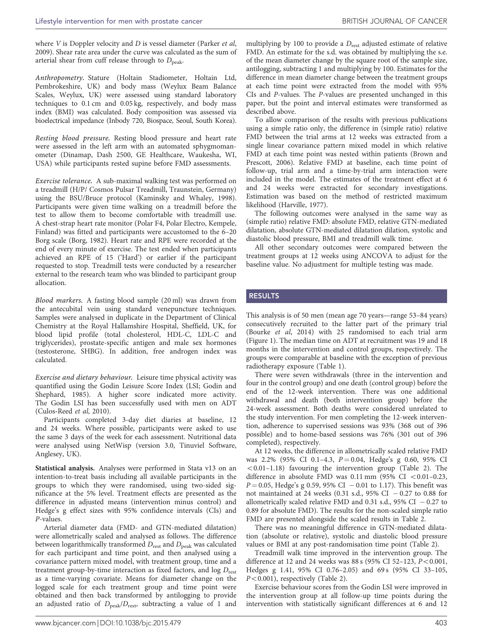where *V* is Doppler velocity and *D* is vessel diameter ([Parker](#page-7-0) et al, [2009](#page-7-0)). Shear rate area under the curve was calculated as the sum of arterial shear from cuff release through to  $D_{\text{peak}}$ .

Anthropometry. Stature (Holtain Stadiometer, Holtain Ltd, Pembrokeshire, UK) and body mass (Weylux Beam Balance Scales, Weylux, UK) were assessed using standard laboratory techniques to 0.1 cm and 0.05 kg, respectively, and body mass index (BMI) was calculated. Body composition was assessed via bioelectrical impedance (Inbody 720, Biospace, Seoul, South Korea).

Resting blood pressure. Resting blood pressure and heart rate were assessed in the left arm with an automated sphygmomanometer (Dinamap, Dash 2500, GE Healthcare, Waukesha, WI, USA) while participants rested supine before FMD assessments.

Exercise tolerance. A sub-maximal walking test was performed on a treadmill (H/P/ Cosmos Pulsar Treadmill, Traunstein, Germany) using the BSU/Bruce protocol [\(Kaminsky and Whaley, 1998](#page-7-0)). Participants were given time walking on a treadmill before the test to allow them to become comfortable with treadmill use. A chest-strap heart rate monitor (Polar F4, Polar Electro, Kempele, Finland) was fitted and participants were accustomed to the 6–20 Borg scale ([Borg, 1982](#page-6-0)). Heart rate and RPE were recorded at the end of every minute of exercise. The test ended when participants achieved an RPE of 15 ('Hard') or earlier if the participant requested to stop. Treadmill tests were conducted by a researcher external to the research team who was blinded to participant group allocation.

Blood markers. A fasting blood sample (20 ml) was drawn from the antecubital vein using standard venepuncture techniques. Samples were analysed in duplicate in the Department of Clinical Chemistry at the Royal Hallamshire Hospital, Sheffield, UK, for blood lipid profile (total cholesterol, HDL-C, LDL-C and triglycerides), prostate-specific antigen and male sex hormones (testosterone, SHBG). In addition, free androgen index was calculated.

Exercise and dietary behaviour. Leisure time physical activity was quantified using the Godin Leisure Score Index (LSI; [Godin and](#page-7-0) [Shephard, 1985\)](#page-7-0). A higher score indicated more activity. The Godin LSI has been successfully used with men on ADT (Culos-Reed et al[, 2010\)](#page-7-0).

Participants completed 3-day diet diaries at baseline, 12 and 24 weeks. Where possible, participants were asked to use the same 3 days of the week for each assessment. Nutritional data were analysed using NetWisp (version 3.0, Tinuviel Software, Anglesey, UK).

Statistical analysis. Analyses were performed in Stata v13 on an intention-to-treat basis including all available participants in the groups to which they were randomised, using two-sided significance at the 5% level. Treatment effects are presented as the difference in adjusted means (intervention minus control) and Hedge's g effect sizes with 95% confidence intervals (CIs) and P-values.

Arterial diameter data (FMD- and GTN-mediated dilatation) were allometrically scaled and analysed as follows. The difference between logarithmically transformed  $D_{\text{rest}}$  and  $D_{\text{peak}}$  was calculated for each participant and time point, and then analysed using a covariance pattern mixed model, with treatment group, time and a treatment group-by-time interaction as fixed factors, and  $log D_{rest}$ as a time-varying covariate. Means for diameter change on the logged scale for each treatment group and time point were obtained and then back transformed by antilogging to provide an adjusted ratio of  $D_{\text{peak}}/D_{\text{rest}}$ , subtracting a value of 1 and

multiplying by 100 to provide a  $D_{\text{rest}}$  adjusted estimate of relative FMD. An estimate for the s.d. was obtained by multiplying the s.e. of the mean diameter change by the square root of the sample size, antilogging, subtracting 1 and multiplying by 100. Estimates for the difference in mean diameter change between the treatment groups at each time point were extracted from the model with 95% CIs and P-values. The P-values are presented unchanged in this paper, but the point and interval estimates were transformed as described above.

To allow comparison of the results with previous publications using a simple ratio only, the difference in (simple ratio) relative FMD between the trial arms at 12 weeks was extracted from a single linear covariance pattern mixed model in which relative FMD at each time point was nested within patients [\(Brown and](#page-6-0) [Prescott, 2006](#page-6-0)). Relative FMD at baseline, each time point of follow-up, trial arm and a time-by-trial arm interaction were included in the model. The estimates of the treatment effect at 6 and 24 weeks were extracted for secondary investigations. Estimation was based on the method of restricted maximum likelihood ([Harville, 1977](#page-7-0)).

The following outcomes were analysed in the same way as (simple ratio) relative FMD: absolute FMD, relative GTN-mediated dilatation, absolute GTN-mediated dilatation dilation, systolic and diastolic blood pressure, BMI and treadmill walk time.

All other secondary outcomes were compared between the treatment groups at 12 weeks using ANCOVA to adjust for the baseline value. No adjustment for multiple testing was made.

#### RESULTS

This analysis is of 50 men (mean age 70 years—range 53–84 years) consecutively recruited to the latter part of the primary trial ([Bourke](#page-6-0) et al, 2014) with 25 randomised to each trial arm ([Figure 1](#page-3-0)). The median time on ADT at recruitment was 19 and 18 months in the intervention and control groups, respectively. The groups were comparable at baseline with the exception of previous radiotherapy exposure ([Table 1\)](#page-4-0).

There were seven withdrawals (three in the intervention and four in the control group) and one death (control group) before the end of the 12-week intervention. There was one additional withdrawal and death (both intervention group) before the 24-week assessment. Both deaths were considered unrelated to the study intervention. For men completing the 12-week intervention, adherence to supervised sessions was 93% (368 out of 396 possible) and to home-based sessions was 76% (301 out of 396 completed), respectively.

At 12 weeks, the difference in allometrically scaled relative FMD was 2.2% (95% CI 0.1-4.3,  $P = 0.04$ , Hedge's g 0.60, 95% CI  $< 0.01 - 1.18$ ) favouring the intervention group [\(Table 2\)](#page-5-0). The difference in absolute FMD was  $0.11 \text{ mm}$  (95% CI <  $0.01-0.23$ ,  $P = 0.05$ , Hedge's g 0.59, 95% CI  $-0.01$  to 1.17). This benefit was not maintained at 24 weeks (0.31 s.d., 95% CI  $-0.27$  to 0.88 for allometrically scaled relative FMD and 0.31 s.d., 95% CI  $-0.27$  to 0.89 for absolute FMD). The results for the non-scaled simple ratio FMD are presented alongside the scaled results in [Table 2](#page-5-0).

There was no meaningful difference in GTN-mediated dilatation (absolute or relative), systolic and diastolic blood pressure values or BMI at any post-randomisation time point [\(Table 2\)](#page-5-0).

Treadmill walk time improved in the intervention group. The difference at 12 and 24 weeks was 88 s (95% CI 52-123,  $P < 0.001$ , Hedges g 1.41, 95% CI 0.76–2.05) and 69 s (95% CI 33–105,  $P<0.001$ ), respectively [\(Table 2](#page-5-0)).

Exercise behaviour scores from the Godin LSI were improved in the intervention group at all follow-up time points during the intervention with statistically significant differences at 6 and 12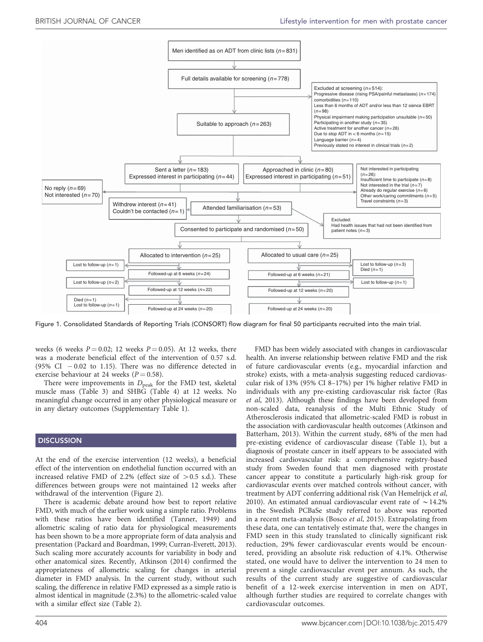<span id="page-3-0"></span>

Figure 1. Consolidated Standards of Reporting Trials (CONSORT) flow diagram for final 50 participants recruited into the main trial.

weeks (6 weeks  $P = 0.02$ ; 12 weeks  $P = 0.05$ ). At 12 weeks, there was a moderate beneficial effect of the intervention of 0.57 s.d. (95% CI  $-0.02$  to 1.15). There was no difference detected in exercise behaviour at 24 weeks ( $P = 0.58$ ).

There were improvements in  $D_{peak}$  for the FMD test, skeletal muscle mass [\(Table 3](#page-5-0)) and SHBG [\(Table 4](#page-6-0)) at 12 weeks. No meaningful change occurred in any other physiological measure or in any dietary outcomes (Supplementary Table 1).

#### **DISCUSSION**

At the end of the exercise intervention (12 weeks), a beneficial effect of the intervention on endothelial function occurred with an increased relative FMD of 2.2% (effect size of  $> 0.5$  s.d.). These differences between groups were not maintained 12 weeks after withdrawal of the intervention ([Figure 2\)](#page-6-0).

There is academic debate around how best to report relative FMD, with much of the earlier work using a simple ratio. Problems with these ratios have been identified ([Tanner, 1949\)](#page-7-0) and allometric scaling of ratio data for physiological measurements has been shown to be a more appropriate form of data analysis and presentation [\(Packard and Boardman, 1999](#page-7-0); Curran-[Everett, 2013](#page-7-0)). Such scaling more accurately accounts for variability in body and other anatomical sizes. Recently, [Atkinson \(2014\)](#page-6-0) confirmed the appropriateness of allometric scaling for changes in arterial diameter in FMD analysis. In the current study, without such scaling, the difference in relative FMD expressed as a simple ratio is almost identical in magnitude (2.3%) to the allometric-scaled value with a similar effect size [\(Table 2\)](#page-5-0).

of future cardiovascular events (e.g., myocardial infarction and stroke) exists, with a meta-analysis suggesting reduced cardiovascular risk of 13% (95% CI 8–17%) per 1% higher relative FMD in individuals with any pre-existing cardiovascular risk factor ([Ras](#page-7-0) et al[, 2013\)](#page-7-0). Although these findings have been developed from non-scaled data, reanalysis of the Multi Ethnic Study of Atherosclerosis indicated that allometric-scaled FMD is robust in the association with cardiovascular health outcomes [\(Atkinson and](#page-6-0) [Batterham, 2013](#page-6-0)). Within the current study, 68% of the men had pre-existing evidence of cardiovascular disease ([Table 1](#page-4-0)), but a diagnosis of prostate cancer in itself appears to be associated with increased cardiovascular risk: a comprehensive registry-based study from Sweden found that men diagnosed with prostate cancer appear to constitute a particularly high-risk group for cardiovascular events over matched controls without cancer, with treatment by ADT conferring additional risk [\(Van Hemelrijck](#page-7-0) et al, [2010](#page-7-0)). An estimated annual cardiovascular event rate of  $\sim$  14.2% in the Swedish PCBaSe study referred to above was reported in a recent meta-analysis (Bosco et al[, 2015](#page-6-0)). Extrapolating from these data, one can tentatively estimate that, were the changes in FMD seen in this study translated to clinically significant risk reduction, 29% fewer cardiovascular events would be encountered, providing an absolute risk reduction of 4.1%. Otherwise stated, one would have to deliver the intervention to 24 men to prevent a single cardiovascular event per annum. As such, the results of the current study are suggestive of cardiovascular benefit of a 12-week exercise intervention in men on ADT, although further studies are required to correlate changes with cardiovascular outcomes.

FMD has been widely associated with changes in cardiovascular health. An inverse relationship between relative FMD and the risk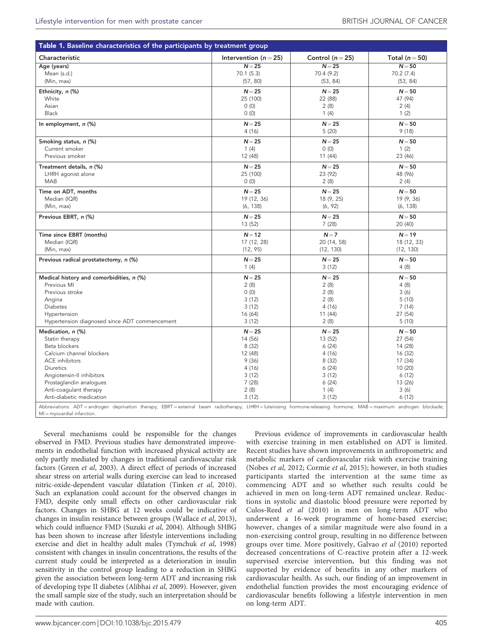<span id="page-4-0"></span>

| Table 1. Baseline characteristics of the participants by treatment group                                                                                                                           |                           |                      |                    |  |  |  |
|----------------------------------------------------------------------------------------------------------------------------------------------------------------------------------------------------|---------------------------|----------------------|--------------------|--|--|--|
| Characteristic                                                                                                                                                                                     | Intervention ( $n = 25$ ) | Control ( $n = 25$ ) | Total ( $n = 50$ ) |  |  |  |
| Age (years)                                                                                                                                                                                        | $N = 25$                  | $N = 25$             | $N = 50$           |  |  |  |
| Mean (s.d.)                                                                                                                                                                                        | 70.1(5.3)                 | 70.4 (9.2)           | 70.2 (7.4)         |  |  |  |
| (Min, max)                                                                                                                                                                                         | (57, 80)                  | (53, 84)             | (53, 84)           |  |  |  |
| Ethnicity, n (%)                                                                                                                                                                                   | $N = 25$                  | $N = 25$             | $N = 50$           |  |  |  |
| White                                                                                                                                                                                              | 25 (100)                  | 22 (88)              | 47 (94)            |  |  |  |
| Asian                                                                                                                                                                                              | 0(0)                      | 2(8)                 | 2(4)               |  |  |  |
| <b>Black</b>                                                                                                                                                                                       | 0(0)                      | 1(4)                 | 1(2)               |  |  |  |
| In employment, n (%)                                                                                                                                                                               | $N = 25$                  | $N = 25$             | $N = 50$           |  |  |  |
|                                                                                                                                                                                                    | 4(16)                     | 5(20)                | 9(18)              |  |  |  |
| Smoking status, n (%)                                                                                                                                                                              | $N = 25$                  | $N = 25$             | $N = 50$           |  |  |  |
| Current smoker                                                                                                                                                                                     | 1(4)                      | 0(0)                 | 1(2)               |  |  |  |
| Previous smoker                                                                                                                                                                                    | 12 (48)                   | 11(44)               | 23 (46)            |  |  |  |
| Treatment details, n (%)                                                                                                                                                                           | $N = 25$                  | $N = 25$             | $N = 50$           |  |  |  |
| LHRH agonist alone                                                                                                                                                                                 | 25 (100)                  | 23 (92)              | 48 (96)            |  |  |  |
| <b>MAB</b>                                                                                                                                                                                         | 0(0)                      | 2(8)                 | 2(4)               |  |  |  |
| Time on ADT, months                                                                                                                                                                                | $N = 25$                  | $N = 25$             | $N = 50$           |  |  |  |
| Median (IQR)                                                                                                                                                                                       | 19 (12, 36)               | 18 (9, 25)           | 19 (9, 36)         |  |  |  |
| (Min, max)                                                                                                                                                                                         | (6, 138)                  | (6, 92)              | (6, 138)           |  |  |  |
| Previous EBRT, n (%)                                                                                                                                                                               | $N = 25$                  | $N = 25$             | $N = 50$           |  |  |  |
|                                                                                                                                                                                                    | 13 (52)                   | 7(28)                | 20 (40)            |  |  |  |
| Time since EBRT (months)                                                                                                                                                                           | $N = 12$                  | $N = 7$              | $N = 19$           |  |  |  |
| Median (IQR)                                                                                                                                                                                       | 17 (12, 28)               | 20 (14, 58)          | 18 (12, 33)        |  |  |  |
| (Min, max)                                                                                                                                                                                         | (12, 95)                  | (12, 130)            | (12, 130)          |  |  |  |
| Previous radical prostatectomy, n (%)                                                                                                                                                              | $N = 25$                  | $N = 25$             | $N = 50$           |  |  |  |
|                                                                                                                                                                                                    | 1(4)                      | 3(12)                | 4(8)               |  |  |  |
| Medical history and comorbidities, n (%)                                                                                                                                                           | $N = 25$                  | $N = 25$             | $N = 50$           |  |  |  |
| Previous MI                                                                                                                                                                                        | 2(8)                      | 2(8)                 | 4(8)               |  |  |  |
| Previous stroke                                                                                                                                                                                    | 0(0)                      | 2(8)                 | 3(6)               |  |  |  |
| Angina                                                                                                                                                                                             | 3(12)                     | 2(8)                 | 5(10)              |  |  |  |
| Diabetes                                                                                                                                                                                           | 3(12)                     | 4(16)                | 7(14)              |  |  |  |
| Hypertension                                                                                                                                                                                       | 16 (64)                   | 11 (44)              | 27 (54)            |  |  |  |
| Hypertension diagnosed since ADT commencement                                                                                                                                                      | 3(12)                     | 2(8)                 | 5(10)              |  |  |  |
| Medication, n (%)                                                                                                                                                                                  | $N = 25$                  | $N = 25$             | $N = 50$           |  |  |  |
| Statin therapy                                                                                                                                                                                     | 14 (56)                   | 13 (52)              | 27 (54)            |  |  |  |
| Beta blockers                                                                                                                                                                                      | 8(32)                     | 6(24)                | 14 (28)            |  |  |  |
| Calcium channel blockers                                                                                                                                                                           | 12 (48)                   | 4(16)                | 16 (32)            |  |  |  |
| <b>ACE</b> inhibitors                                                                                                                                                                              | 9(36)                     | 8(32)                | 17 (34)            |  |  |  |
| <b>Diuretics</b>                                                                                                                                                                                   | 4(16)                     | 6(24)                | 10 (20)            |  |  |  |
| Angiotensin-II inhibitors                                                                                                                                                                          | 3(12)                     | 3(12)                | 6(12)              |  |  |  |
| Prostaglandin analogues                                                                                                                                                                            | 7(28)                     | 6(24)                | 13 (26)            |  |  |  |
| Anti-coagulant therapy                                                                                                                                                                             | 2(8)                      | 1(4)                 | 3(6)               |  |  |  |
| Anti-diabetic medication                                                                                                                                                                           | 3(12)                     | 3(12)                | 6(12)              |  |  |  |
| Abbreviations: ADT=androgen deprivation therapy; EBRT=external beam radiotherapy; LHRH=luteinising hormone-releasing hormone; MAB=maximum androgen blockade;<br>$M = m\gamma$ ocardial infarction. |                           |                      |                    |  |  |  |

Several mechanisms could be responsible for the changes observed in FMD. Previous studies have demonstrated improvements in endothelial function with increased physical activity are only partly mediated by changes in traditional cardiovascular risk factors (Green et al[, 2003](#page-7-0)). A direct effect of periods of increased shear stress on arterial walls during exercise can lead to increased nitric-oxide-dependent vascular dilatation [\(Tinken](#page-7-0) et al, 2010). Such an explanation could account for the observed changes in FMD, despite only small effects on other cardiovascular risk factors. Changes in SHBG at 12 weeks could be indicative of changes in insulin resistance between groups [\(Wallace](#page-7-0) et al, 2013), which could influence FMD [\(Suzuki](#page-7-0) et al, 2004). Although SHBG has been shown to increase after lifestyle interventions including exercise and diet in healthy adult males [\(Tymchuk](#page-7-0) et al, 1998) consistent with changes in insulin concentrations, the results of the current study could be interpreted as a deterioration in insulin sensitivity in the control group leading to a reduction in SHBG given the association between long-term ADT and increasing risk of developing type II diabetes ([Alibhai](#page-6-0) et al, 2009). However, given the small sample size of the study, such an interpretation should be made with caution.

Previous evidence of improvements in cardiovascular health with exercise training in men established on ADT is limited. Recent studies have shown improvements in anthropometric and metabolic markers of cardiovascular risk with exercise training ([Nobes](#page-7-0) et al, 2012; [Cormie](#page-7-0) et al, 2015); however, in both studies participants started the intervention at the same time as commencing ADT and so whether such results could be achieved in men on long-term ADT remained unclear. Reductions in systolic and diastolic blood pressure were reported by Culos-Reed et al [\(2010\)](#page-7-0) in men on long-term ADT who underwent a 16-week programme of home-based exercise; however, changes of a similar magnitude were also found in a non-exercising control group, resulting in no difference between groups over time. More positively, [Galvao](#page-7-0) et al (2010) reported decreased concentrations of C-reactive protein after a 12-week supervised exercise intervention, but this finding was not supported by evidence of benefits in any other markers of cardiovascular health. As such, our finding of an improvement in endothelial function provides the most encouraging evidence of cardiovascular benefits following a lifestyle intervention in men on long-term ADT.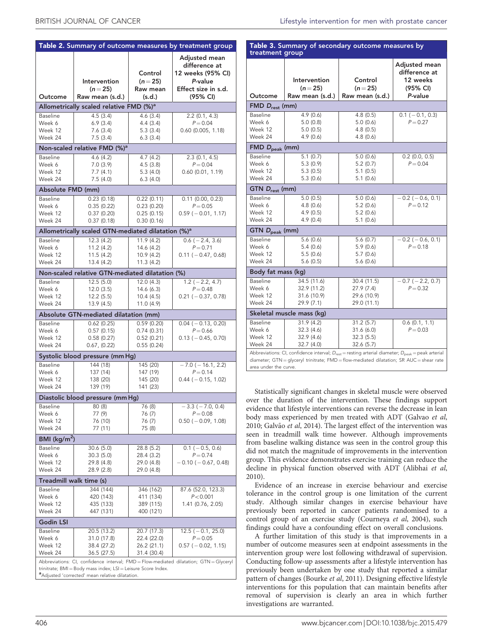<span id="page-5-0"></span>

| Table 2. Summary of outcome measures by treatment group   |                                                                                        |                                 |                                                                                       |  |  |  |  |
|-----------------------------------------------------------|----------------------------------------------------------------------------------------|---------------------------------|---------------------------------------------------------------------------------------|--|--|--|--|
|                                                           | Intervention<br>$(n = 25)$                                                             | Control<br>$(n=25)$<br>Raw mean | Adjusted mean<br>difference at<br>12 weeks (95% CI)<br>P-value<br>Effect size in s.d. |  |  |  |  |
| Outcome                                                   | Raw mean (s.d.)                                                                        | (s.d.)                          | (95% CI)                                                                              |  |  |  |  |
| Allometrically scaled relative FMD (%) <sup>a</sup>       |                                                                                        |                                 |                                                                                       |  |  |  |  |
| Baseline                                                  | 4.5(3.4)                                                                               | 4.6(3.4)                        | $2.2$ (0.1, 4.3)                                                                      |  |  |  |  |
| Week 6                                                    | 6.9(3.4)                                                                               | 4.4(3.4)                        | $P = 0.04$                                                                            |  |  |  |  |
| Week 12                                                   | 7.6(3.4)                                                                               | 5.3(3.4)                        | $0.60$ (0.005, 1.18)                                                                  |  |  |  |  |
| Week 24                                                   | 7.5(3.4)                                                                               | 6.3(3.4)                        |                                                                                       |  |  |  |  |
|                                                           | Non-scaled relative FMD (%) <sup>a</sup>                                               |                                 |                                                                                       |  |  |  |  |
| <b>Baseline</b>                                           | 4.6(4.2)                                                                               | 4.7 (4.2)                       | $2.3$ (0.1, 4.5)                                                                      |  |  |  |  |
| Week 6                                                    | 7.0(3.9)                                                                               | 4.5(3.8)                        | $P = 0.04$                                                                            |  |  |  |  |
| Week 12<br>Week 24                                        | 7.7(4.1)<br>7.5(4.0)                                                                   | 5.3(4.0)<br>6.3(4.0)            | $0.60$ (0.01, 1.19)                                                                   |  |  |  |  |
|                                                           |                                                                                        |                                 |                                                                                       |  |  |  |  |
| Absolute FMD (mm)                                         |                                                                                        |                                 |                                                                                       |  |  |  |  |
| <b>Baseline</b>                                           | 0.23(0.18)                                                                             | 0.22(0.11)                      | $0.11$ (0.00, 0.23)                                                                   |  |  |  |  |
| Week 6<br>Week 12                                         | 0.35(0.22)<br>0.37(0.20)                                                               | 0.23(0.20)<br>0.25(0.15)        | $P = 0.05$<br>$0.59$ ( $-0.01$ , 1.17)                                                |  |  |  |  |
| Week 24                                                   | 0.37(0.18)                                                                             | 0.30(0.16)                      |                                                                                       |  |  |  |  |
|                                                           | Allometrically scaled GTN-mediated dilatation (%) <sup>a</sup>                         |                                 |                                                                                       |  |  |  |  |
| <b>Baseline</b>                                           | 12.3(4.2)                                                                              | 11.9(4.2)                       | $0.6$ ( $-2.4$ , 3.6)                                                                 |  |  |  |  |
| Week 6                                                    | 11.2(4.2)                                                                              | 14.6 (4.2)                      | $P = 0.71$                                                                            |  |  |  |  |
| Week 12                                                   | 11.5(4.2)                                                                              | 10.9 (4.2)                      | $0.11 (-0.47, 0.68)$                                                                  |  |  |  |  |
| Week 24                                                   | 13.4 (4.2)                                                                             | 11.3(4.2)                       |                                                                                       |  |  |  |  |
|                                                           | Non-scaled relative GTN-mediated dilatation (%)                                        |                                 |                                                                                       |  |  |  |  |
| Baseline                                                  | 12.5(5.0)                                                                              | 12.0(4.3)                       | $1.2 (-2.2, 4.7)$                                                                     |  |  |  |  |
| Week 6                                                    | 12.0(3.5)                                                                              | 14.6(6.3)                       | $P = 0.48$                                                                            |  |  |  |  |
| Week 12                                                   | 12.2(5.5)                                                                              | 10.4(4.5)                       | $0.21$ ( $-0.37, 0.78$ )                                                              |  |  |  |  |
| Week 24                                                   | 13.9(4.5)                                                                              | 11.0 (4.9)                      |                                                                                       |  |  |  |  |
|                                                           | Absolute GTN-mediated dilatation (mm)                                                  |                                 |                                                                                       |  |  |  |  |
| <b>Baseline</b>                                           | 0.62(0.25)                                                                             | 0.59(0.20)                      | $0.04$ ( $-0.13$ , 0.20)                                                              |  |  |  |  |
| Week 6                                                    | 0.57(0.15)                                                                             | 0.74(0.31)                      | $P = 0.66$                                                                            |  |  |  |  |
| Week 12                                                   | 0.58(0.27)                                                                             | 0.52(0.21)                      | $0.13 (-0.45, 0.70)$                                                                  |  |  |  |  |
| Week 24                                                   | 0.67, (0.22)                                                                           | 0.55(0.24)                      |                                                                                       |  |  |  |  |
|                                                           | Systolic blood pressure (mm Hg)                                                        |                                 |                                                                                       |  |  |  |  |
| Baseline                                                  | 144 (18)                                                                               | 145 (20)                        | $-7.0$ ( $-16.1$ , 2.2)                                                               |  |  |  |  |
| Week 6<br>Week 12                                         | 137 (14)<br>138 (20)                                                                   | 147 (19)<br>145 (20)            | $P = 0.14$<br>$0.44 (-0.15, 1.02)$                                                    |  |  |  |  |
| Week 24                                                   | 139 (19)                                                                               | 141 (23)                        |                                                                                       |  |  |  |  |
| Diastolic blood pressure (mm Hg)                          |                                                                                        |                                 |                                                                                       |  |  |  |  |
| Baseline                                                  | 80 (8)                                                                                 | 76 (8)                          | $-3.3$ ( $-7.0$ , 0.4)                                                                |  |  |  |  |
| Week 6                                                    | 77 (9)                                                                                 | 76 (7)                          | $P = 0.08$                                                                            |  |  |  |  |
| Week 12                                                   | 76 (10)                                                                                | 76 (7)                          | $0.50$ ( $-0.09$ , 1.08)                                                              |  |  |  |  |
| Week 24                                                   | 77 (11)                                                                                | 75 (8)                          |                                                                                       |  |  |  |  |
| BMI (kg/m <sup>2</sup> )                                  |                                                                                        |                                 |                                                                                       |  |  |  |  |
| Baseline                                                  | 30.6 (5.0)                                                                             | 28.8 (5.2)                      | $0.1$ ( $-0.5$ , 0.6)                                                                 |  |  |  |  |
| Week 6                                                    | 30.3(5.0)                                                                              | 28.4 (3.2)                      | $P = 0.74$                                                                            |  |  |  |  |
| Week 12                                                   | 29.8 (4.8)                                                                             | 29.0 (4.8)                      | $-0.10$ ( $-0.67$ , 0.48)                                                             |  |  |  |  |
| Week 24                                                   | 28.9 (2.8)                                                                             | 29.0 (4.8)                      |                                                                                       |  |  |  |  |
| Treadmill walk time (s)                                   |                                                                                        |                                 |                                                                                       |  |  |  |  |
| <b>Baseline</b>                                           | 344 (144)                                                                              | 346 (162)                       | 87.6 (52.0, 123.3)                                                                    |  |  |  |  |
| Week 6                                                    | 420 (143)                                                                              | 411 (134)                       | P < 0.001                                                                             |  |  |  |  |
| Week 12                                                   | 435 (133)                                                                              | 389 (115)                       | 1.41 (0.76, 2.05)                                                                     |  |  |  |  |
| Week 24                                                   | 447 (131)                                                                              | 400 (121)                       |                                                                                       |  |  |  |  |
| Godin LSI                                                 |                                                                                        |                                 |                                                                                       |  |  |  |  |
| Baseline                                                  | 20.5 (13.2)                                                                            | 20.7 (17.3)                     | $12.5$ ( $-0.1$ , 25.0)                                                               |  |  |  |  |
| Week 6                                                    | 31.0 (17.8)                                                                            | 22.4 (22.0)                     | $P = 0.05$                                                                            |  |  |  |  |
| Week 12<br>Week 24                                        | 38.4 (27.2)<br>36.5 (27.5)                                                             | 26.2 (21.1)<br>31.4 (30.4)      | $0.57$ ( $-0.02$ , 1.15)                                                              |  |  |  |  |
|                                                           | Abbreviations: CI, confidence interval; FMD = Flow-mediated dilatation; GTN = Glyceryl |                                 |                                                                                       |  |  |  |  |
| trinitrate; BMI=Body mass index; LSI=Leisure Score Index. |                                                                                        |                                 |                                                                                       |  |  |  |  |
| a Adjusted 'corrected' mean relative dilatation.          |                                                                                        |                                 |                                                                                       |  |  |  |  |

| Table 3. Summary of secondary outcome measures by<br>treatment group                                                                                                                                                                          |                                                         |                                                         |                                                                   |  |  |
|-----------------------------------------------------------------------------------------------------------------------------------------------------------------------------------------------------------------------------------------------|---------------------------------------------------------|---------------------------------------------------------|-------------------------------------------------------------------|--|--|
| Outcome                                                                                                                                                                                                                                       | Intervention<br>$(n=25)$<br>Raw mean (s.d.)             | Control<br>$(n = 25)$<br>Raw mean (s.d.)                | Adjusted mean<br>difference at<br>12 weeks<br>(95% CI)<br>P-value |  |  |
| FMD $D_{rest}$ (mm)                                                                                                                                                                                                                           |                                                         |                                                         |                                                                   |  |  |
| <b>Baseline</b><br>Week 6<br>Week 12<br>Week 24                                                                                                                                                                                               | 4.9(0.6)<br>5.0(0.8)<br>5.0(0.5)<br>4.9(0.6)            | 4.8(0.5)<br>5.0 (0.6)<br>4.8(0.5)<br>4.8(0.6)           | $0.1$ ( $-0.1$ , 0.3)<br>$P = 0.27$                               |  |  |
| FMD $D_{\text{peak}}$ (mm)                                                                                                                                                                                                                    |                                                         |                                                         |                                                                   |  |  |
| <b>Baseline</b><br>Week 6<br>Week 12<br>Week 24                                                                                                                                                                                               | 5.1(0.7)<br>5.3 (0.9)<br>5.3(0.5)<br>5.3(0.6)           | 5.0(0.6)<br>5.2 (0.7)<br>5.1(0.5)<br>5.1(0.6)           | $0.2$ (0.0, 0.5)<br>$P = 0.04$                                    |  |  |
| $GTN$ $D_{rest}$ (mm)                                                                                                                                                                                                                         |                                                         |                                                         |                                                                   |  |  |
| <b>Baseline</b><br>Week 6<br>Week 12<br>Week 24                                                                                                                                                                                               | 5.0(0.5)<br>4.8(0.6)<br>4.9(0.5)<br>4.9(0.4)            | 5.0(0.6)<br>5.2(0.6)<br>5.2(0.6)<br>5.1(0.6)            | $-0.2$ ( $-0.6$ , 0.1)<br>$P = 0.12$                              |  |  |
| GTN D <sub>peak</sub> (mm)                                                                                                                                                                                                                    |                                                         |                                                         |                                                                   |  |  |
| Baseline<br>Week 6<br>Week 12<br>Week 24                                                                                                                                                                                                      | 5.6(0.6)<br>5.4(0.6)<br>5.5 (0.6)<br>5.6(0.5)           | 5.6(0.7)<br>5.9(0.6)<br>5.7(0.6)<br>5.6(0.6)            | $-0.2$ ( $-0.6$ , 0.1)<br>$P = 0.18$                              |  |  |
| Body fat mass (kg)                                                                                                                                                                                                                            |                                                         |                                                         |                                                                   |  |  |
| <b>Baseline</b><br>Week 6<br>Week 12<br>Week 24                                                                                                                                                                                               | 34.5 (11.6)<br>32.9 (11.2)<br>31.6 (10.9)<br>29.9 (7.1) | 30.4 (11.5)<br>27.9 (7.4)<br>29.6 (10.9)<br>29.0 (11.1) | $-0.7$ ( $-2.2$ , 0.7)<br>$P = 0.32$                              |  |  |
| Skeletal muscle mass (kg)                                                                                                                                                                                                                     |                                                         |                                                         |                                                                   |  |  |
| <b>Baseline</b><br>Week 6<br>Week 12<br>Week 24                                                                                                                                                                                               | 31.9(4.2)<br>32.3(4.6)<br>32.9 (4.6)<br>32.7(4.0)       | 31.2(5.7)<br>31.6 (6.0)<br>32.3(5.5)<br>32.6 (5.7)      | 0.6(0.1, 1.1)<br>$P = 0.03$                                       |  |  |
| Abbreviations: CI, confidence interval; $D_{\text{rest}} =$ resting arterial diameter; $D_{\text{peak}} =$ peak arterial<br>diameter; GTN = glyceryl trinitrate; FMD = flow-mediated dilatation; SR AUC = shear rate<br>area under the curve. |                                                         |                                                         |                                                                   |  |  |

Statistically significant changes in skeletal muscle were observed over the duration of the intervention. These findings support evidence that lifestyle interventions can reverse the decrease in lean body mass experienced by men treated with ADT [\(Galvao](#page-7-0) et al, [2010](#page-7-0); Galvão et al, 2014). The largest effect of the intervention was seen in treadmill walk time however. Although improvements from baseline walking distance was seen in the control group this did not match the magnitude of improvements in the intervention group. This evidence demonstrates exercise training can reduce the decline in physical function observed with ADT [\(Alibhai](#page-6-0) et al, [2010](#page-6-0)).

Evidence of an increase in exercise behaviour and exercise tolerance in the control group is one limitation of the current study. Although similar changes in exercise behaviour have previously been reported in cancer patients randomised to a control group of an exercise study ([Courneya](#page-7-0) et al, 2004), such findings could have a confounding effect on overall conclusions.

A further limitation of this study is that improvements in a number of outcome measures seen at endpoint assessments in the intervention group were lost following withdrawal of supervision. Conducting follow-up assessments after a lifestyle intervention has previously been undertaken by one study that reported a similar pattern of changes [\(Bourke](#page-6-0) et al, 2011). Designing effective lifestyle interventions for this population that can maintain benefits after removal of supervision is clearly an area in which further investigations are warranted.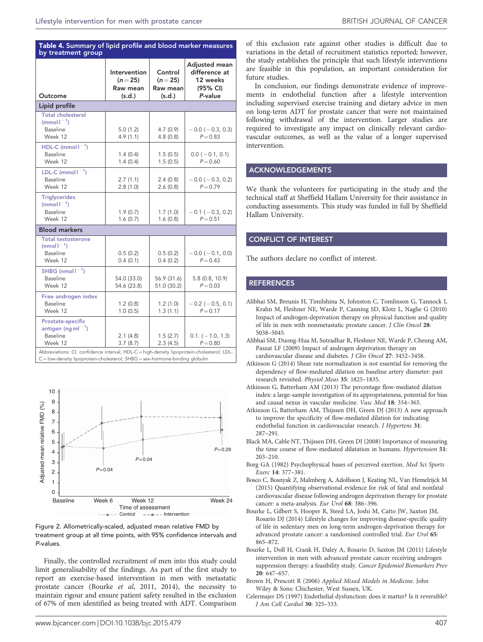### <span id="page-6-0"></span>Table 4. Summary of lipid profile and blood marker measures by treatment group

| Outcome                                                                                                                                                          | Intervention<br>$(n = 25)$<br>Raw mean<br>(s.d.) | Control<br>$(n = 25)$<br>Raw mean<br>(s.d.) | Adjusted mean<br>difference at<br>12 weeks<br>(95% CI)<br>P-value |
|------------------------------------------------------------------------------------------------------------------------------------------------------------------|--------------------------------------------------|---------------------------------------------|-------------------------------------------------------------------|
| Lipid profile                                                                                                                                                    |                                                  |                                             |                                                                   |
| <b>Total cholesterol</b><br>$(mmol-1)$<br>Baseline<br>Week 12                                                                                                    | 5.0(1.2)<br>4.9(1.1)                             | 4.7(0.9)<br>4.8(0.8)                        | $-0.0$ ( $-0.3$ , 0.3)<br>$P = 0.83$                              |
| HDL-C (mmol $I^{-1}$ )<br><b>Baseline</b><br>Week 12                                                                                                             | 1.4(0.4)<br>1.4(0.4)                             | 1.5(0.5)<br>1.5(0.5)                        | $0.0$ ( $-0.1$ , 0.1)<br>$P = 0.60$                               |
| LDL-C (mmol $I^{-1}$ )<br>Baseline<br>Week 12                                                                                                                    | 2.7(1.1)<br>2.8(1.0)                             | 2.4(0.8)<br>2.6(0.8)                        | $-0.0$ ( $-0.3$ , 0.2)<br>$P = 0.79$                              |
| <b>Triglycerides</b><br>$(mmol-1)$<br><b>Baseline</b><br>Week 12                                                                                                 | 1.9(0.7)<br>1.6(0.7)                             | 1.7(1.0)<br>1.6(0.8)                        | $-0.1$ ( $-0.3$ , 0.2)<br>$P = 0.51$                              |
| <b>Blood markers</b>                                                                                                                                             |                                                  |                                             |                                                                   |
| <b>Total testosterone</b><br>(nmol $1^{-1}$ )<br>Baseline<br>Week 12                                                                                             | 0.5(0.2)<br>0.4(0.1)                             | 0.5(0.2)<br>0.4(0.2)                        | $-0.0$ ( $-0.1$ , 0.0)<br>$P = 0.43$                              |
| SHBG (nmol $1^{-1}$ )<br>Baseline<br>Week 12                                                                                                                     | 54.0 (33.0)<br>54.6 (23.8)                       | 56.9 (31.6)<br>51.0 (30.2)                  | 5.8 (0.8, 10.9)<br>$P = 0.03$                                     |
| Free androgen index<br><b>Baseline</b><br>Week 12                                                                                                                | 1.2(0.8)<br>1.0(0.5)                             | 1.2(1.0)<br>1.3(1.1)                        | $-0.2$ ( $-0.5$ , 0.1)<br>$P = 0.17$                              |
| Prostate-specific<br>antigen (ng m $I^{-1}$ )<br>Baseline<br>Week 12<br>Abbreviations: CI, confidence interval; HDL-C=high-density lipoprotein-cholesterol; LDL- | 2.1(4.8)<br>3.7(8.7)                             | 1.5(2.7)<br>2.3(4.5)                        | $0.1. (-1.0, 1.3)$<br>$P = 0.80$                                  |

10 9 Adjusted mean relative FMD (%) Adjusted mean relative FMD (%) 8 7 6 5 *P*= 0.29 4 *P*= 0.04 3 *P*= 0.04  $\overline{2}$ 1  $\overline{0}$ Baseline Week 6 Week 12 Week 24 Time of assessment  $---$  Control  $---$  Intervention



Finally, the controlled recruitment of men into this study could limit generalisability of the findings. As part of the first study to report an exercise-based intervention in men with metastatic prostate cancer (Bourke et al, 2011, 2014), the necessity to maintain rigour and ensure patient safety resulted in the exclusion of 67% of men identified as being treated with ADT. Comparison

In conclusion, our findings demonstrate evidence of improvements in endothelial function after a lifestyle intervention including supervised exercise training and dietary advice in men on long-term ADT for prostate cancer that were not maintained following withdrawal of the intervention. Larger studies are required to investigate any impact on clinically relevant cardiovascular outcomes, as well as the value of a longer supervised intervention.

#### ACKNOWLEDGEMENTS

We thank the volunteers for participating in the study and the technical staff at Sheffield Hallam University for their assistance in conducting assessments. This study was funded in full by Sheffield Hallam University.

#### CONFLICT OF INTEREST

The authors declare no conflict of interest.

#### **REFERENCES**

- Alibhai SM, Breunis H, Timilshina N, Johnston C, Tomlinson G, Tannock I, Krahn M, Fleshner NE, Warde P, Canning SD, Klotz L, Naglie G (2010) Impact of androgen-deprivation therapy on physical function and quality of life in men with nonmetastatic prostate cancer. J Clin Oncol 28: 5038–5045.
- Alibhai SM, Duong-Hua M, Sutradhar R, Fleshner NE, Warde P, Cheung AM, Paszat LF (2009) Impact of androgen deprivation therapy on cardiovascular disease and diabetes. J Clin Oncol 27: 3452–3458.
- Atkinson G (2014) Shear rate normalization is not essential for removing the dependency of flow-mediated dilation on baseline artery diameter: past research revisited. Physiol Meas 35: 1825–1835.
- Atkinson G, Batterham AM (2013) The percentage flow-mediated dilation index: a large-sample investigation of its appropriateness, potential for bias and causal nexus in vascular medicine. Vasc Med 18: 354–365.
- Atkinson G, Batterham AM, Thijssen DH, Green DJ (2013) A new approach to improve the specificity of flow-mediated dilation for indicating endothelial function in cardiovascular research. J Hypertens 31: 287–291.
- Black MA, Cable NT, Thijssen DH, Green DJ (2008) Importance of measuring the time course of flow-mediated dilatation in humans. Hypertension 51: 203–210.
- Borg GA (1982) Psychophysical bases of perceived exertion. Med Sci Sports Exerc 14: 377–381.
- Bosco C, Bosnyak Z, Malmberg A, Adolfsson J, Keating NL, Van Hemelrijck M (2015) Quantifying observational evidence for risk of fatal and nonfatal cardiovascular disease following androgen deprivation therapy for prostate cancer: a meta-analysis. Eur Urol 68: 386–396.
- Bourke L, Gilbert S, Hooper R, Steed LA, Joshi M, Catto JW, Saxton JM, Rosario DJ (2014) Lifestyle changes for improving disease-specific quality of life in sedentary men on long-term androgen-deprivation therapy for advanced prostate cancer: a randomised controlled trial. Eur Urol 65: 865–872.
- Bourke L, Doll H, Crank H, Daley A, Rosario D, Saxton JM (2011) Lifestyle intervention in men with advanced prostate cancer receiving androgen suppression therapy: a feasibility study. Cancer Epidemiol Biomarkers Prev 20: 647–657.
- Brown H, Prescott R (2006) Applied Mixed Models in Medicine. John Wiley & Sons: Chichester, West Sussex, UK.
- Celermajer DS (1997) Endothelial dysfunction: does it matter? Is it reversible? J Am Coll Cardiol 30: 325–333.